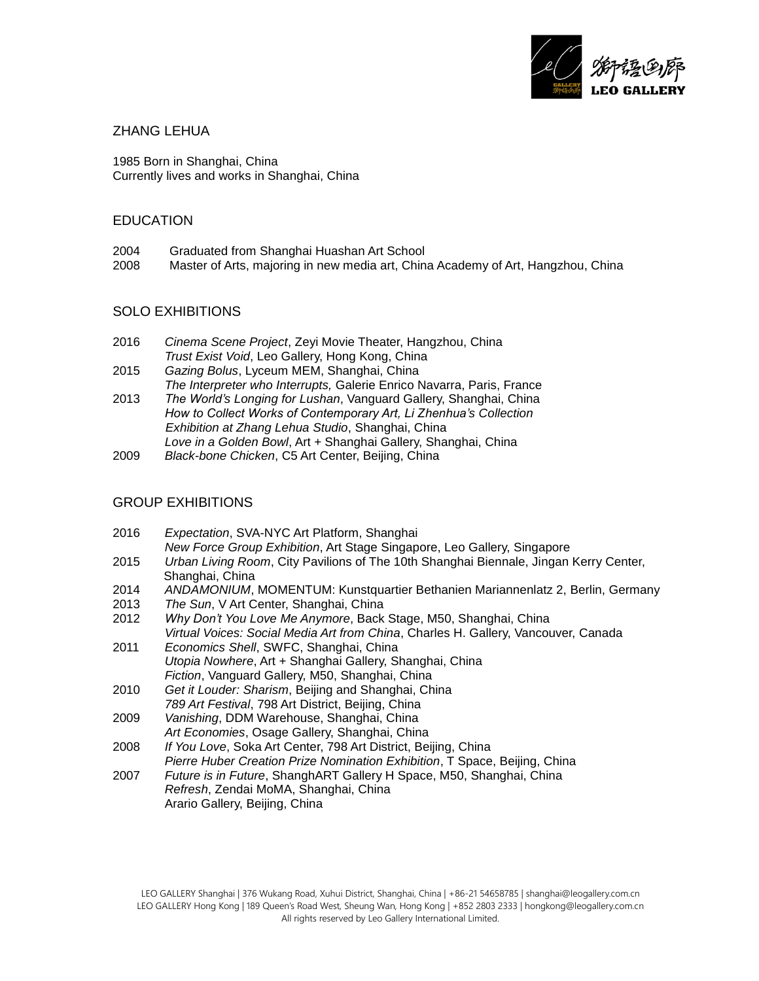

# ZHANG LEHUA

1985 Born in Shanghai, China Currently lives and works in Shanghai, China

# EDUCATION

| 2004 | Graduated from Shanghai Huashan Art School                                       |
|------|----------------------------------------------------------------------------------|
| 2008 | Master of Arts, majoring in new media art, China Academy of Art, Hangzhou, China |

## SOLO EXHIBITIONS

- 2016 *Cinema Scene Project*, Zeyi Movie Theater, Hangzhou, China *Trust Exist Void*, Leo Gallery, Hong Kong, China
- 2015 *Gazing Bolus*, Lyceum MEM, Shanghai, China *The Interpreter who Interrupts,* Galerie Enrico Navarra, Paris, France
- 2013 *The World's Longing for Lushan*, Vanguard Gallery, Shanghai, China *How to Collect Works of Contemporary Art, Li Zhenhua's Collection Exhibition at Zhang Lehua Studio*, Shanghai, China *Love in a Golden Bowl*, Art + Shanghai Gallery, Shanghai, China
- 2009 *Black-bone Chicken*, C5 Art Center, Beijing, China

## GROUP EXHIBITIONS

| 2016 | <i>Expectation, SVA-NYC Art Platform, Shanghai</i>                      |
|------|-------------------------------------------------------------------------|
|      | New Force Group Exhibition, Art Stage Singapore, Leo Gallery, Singapore |

- 2015 *Urban Living Room*, City Pavilions of The 10th Shanghai Biennale, Jingan Kerry Center, Shanghai, China
- 2014 *ANDAMONIUM*, MOMENTUM: Kunstquartier Bethanien Mariannenlatz 2, Berlin, Germany
- 2013 *The Sun*, V Art Center, Shanghai, China
- 2012 *Why Don't You Love Me Anymore*, Back Stage, M50, Shanghai, China *Virtual Voices: Social Media Art from China*, Charles H. Gallery, Vancouver, Canada
- 2011 *Economics Shell*, SWFC, Shanghai, China *Utopia Nowhere*, Art + Shanghai Gallery, Shanghai, China *Fiction*, Vanguard Gallery, M50, Shanghai, China
- 2010 *Get it Louder: Sharism*, Beijing and Shanghai, China *789 Art Festival*, 798 Art District, Beijing, China
- 2009 *Vanishing*, DDM Warehouse, Shanghai, China *Art Economies*, Osage Gallery, Shanghai, China
- 2008 *If You Love*, Soka Art Center, 798 Art District, Beijing, China *Pierre Huber Creation Prize Nomination Exhibition*, T Space, Beijing, China
- 2007 *Future is in Future*, ShanghART Gallery H Space, M50, Shanghai, China *Refresh*, Zendai MoMA, Shanghai, China Arario Gallery, Beijing, China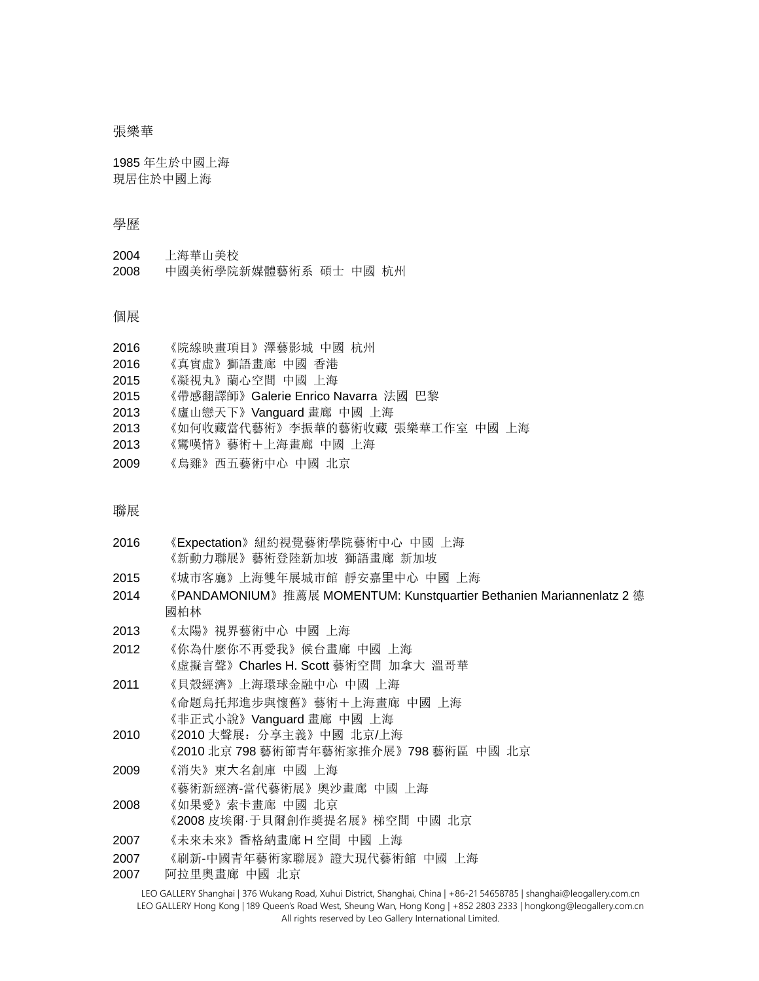### 張樂華

1985 年生於中國上海 現居住於中國上海

### 學歷

| 2004 | 上海華山美校                |  |  |
|------|-----------------------|--|--|
| 2008 | 中國美術學院新媒體藝術系 碩士 中國 杭州 |  |  |

#### 個展

| 2016 | 《院線映畫項目》澤藝影城 中國 杭州 |  |  |  |
|------|--------------------|--|--|--|
|------|--------------------|--|--|--|

- 2016 《真實虛》獅語畫廊 中國 香港
- 2015 《凝視丸》蘭心空間 中國 上海
- 2015 《帶感翻譯師》Galerie Enrico Navarra 法國 巴黎
- 2013 《廬山戀天下》Vanguard 畫廊 中國 上海
- 2013 《如何收藏當代藝術》李振華的藝術收藏 張樂華工作室 中國 上海
- 2013 《鸞嘆情》藝術+上海畫廊 中國 上海
- 2009 《烏雞》西五藝術中⼼ 中國 北京

#### 聯展

- 2016 《Expectation》紐約視覺藝術學院藝術中心 中國 上海 《新動力聯展》藝術登陸新加坡 獅語畫廊 新加坡
- 2015 《城市客廳》上海雙年展城市館 靜安嘉里中心 中國 上海
- 2014 《PANDAMONIUM》推薦展 MOMENTUM: Kunstquartier Bethanien Mariannenlatz 2 德 國柏林
- 2013 《太陽》視界藝術中⼼ 中國 上海
- 2012 《你為什麼你不再愛我》候台畫廊 中國 上海 《虛擬言聲》Charles H. Scott 藝術空間 加拿大 溫哥華
- 2011 《貝殼經濟》上海環球金融中⼼ 中國 上海 《命題烏托邦進步與懷舊》藝術+上海畫廊 中國 上海 《非正式小說》Vanguard 畫廊 中國 上海
- 2010 《2010 大聲展:分享主義》中國 北京/上海 《2010 北京 798 藝術節青年藝術家推介展》798 藝術區 中國 北京
- 2009 《消失》東⼤名創庫 中國 上海 《藝術新經濟-當代藝術展》奧沙畫廊 中國 上海
- 2008 《如果愛》索卡畫廊 中國 北京 《2008 皮埃爾·于貝爾創作獎提名展》梯空間 中國 北京
- 2007 《未來未來》⾹格納畫廊 H 空間 中國 上海
- 2007 《刷新-中國青年藝術家聯展》證大現代藝術館 中國 上海
- 2007 阿拉里奧畫廊 中國 北京

LEO GALLERY Shanghai | 376 Wukang Road, Xuhui District, Shanghai, China | +86-21 54658785 | shanghai@leogallery.com.cn LEO GALLERY Hong Kong | 189 Queen's Road West, Sheung Wan, Hong Kong | +852 2803 2333 | hongkong@leogallery.com.cn All rights reserved by Leo Gallery International Limited.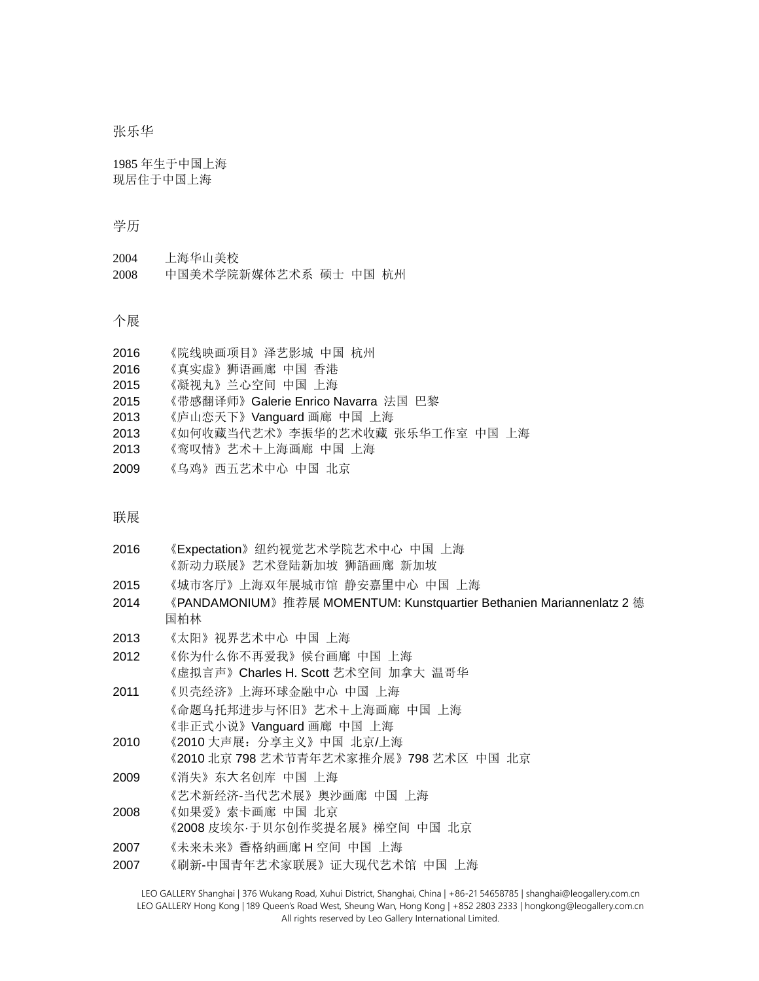张乐华

1985 年生于中国上海 现居住于中国上海

### 学历

2004 上海华山美校 2008 中国美术学院新媒体艺术系 硕士 中国 杭州

## 个展

| 2016 | 《院线映画项目》泽艺影城 中国 杭州                   |
|------|--------------------------------------|
| 2016 | 《真实虚》狮语画廊 中国 香港                      |
| 2015 | 《凝视丸》兰心空间 中国 上海                      |
| 2015 | 《带感翻译师》 Galerie Enrico Navarra 法国 巴黎 |
| 2013 | 《庐山恋天下》 Vanguard 画廊 中国 上海            |
| 2013 | 《如何收藏当代艺术》李振华的艺术收藏 张乐华工作室            |
| 2013 | 《鸾叹情》 艺术+上海画廊 中国 上海                  |
|      |                                      |

2009 《乌鸡》西五艺术中⼼ 中国 北京

联展

| 2016 | 《Expectation》纽约视觉艺术学院艺术中心 中国 上海 |  |  |
|------|---------------------------------|--|--|
|      | 《新动力联展》艺术登陆新加坡 狮語画廊 新加坡         |  |  |

- 2015 《城市客厅》上海双年展城市馆 静安嘉⾥中⼼ 中国 上海
- 2014 《PANDAMONIUM》推荐展 MOMENTUM: Kunstquartier Bethanien Mariannenlatz 2 德 国柏林

中国 上海

- 2013 《太阳》视界艺术中⼼ 中国 上海
- 2012 《你为什么你不再爱我》候台画廊 中国 上海
- 《虚拟言声》Charles H. Scott 艺术空间 加拿大 温哥华 2011 《贝壳经济》上海环球金融中⼼ 中国 上海
- 《命题乌托邦进步与怀旧》艺术+上海画廊 中国 上海 《非正式小说》Vanguard 画廊 中国 上海
- 2010 《2010 大声展:分享主义》中国 北京/上海 《2010 北京 798 艺术节青年艺术家推介展》798 艺术区 中国 北京
- 2009 《消失》东⼤名创库 中国 上海 《艺术新经济-当代艺术展》奥沙画廊 中国 上海
- 

2008 《如果爱》索卡画廊 中国 北京

《2008 皮埃尔·于贝尔创作奖提名展》梯空间 中国 北京

- 2007 《未来未来》⾹格纳画廊 H 空间 中国 上海
- 2007 《刷新-中国青年艺术家联展》证大现代艺术馆 中国 上海

LEO GALLERY Shanghai | 376 Wukang Road, Xuhui District, Shanghai, China | +86-21 54658785 | shanghai@leogallery.com.cn LEO GALLERY Hong Kong | 189 Queen's Road West, Sheung Wan, Hong Kong | +852 2803 2333 | hongkong@leogallery.com.cn All rights reserved by Leo Gallery International Limited.